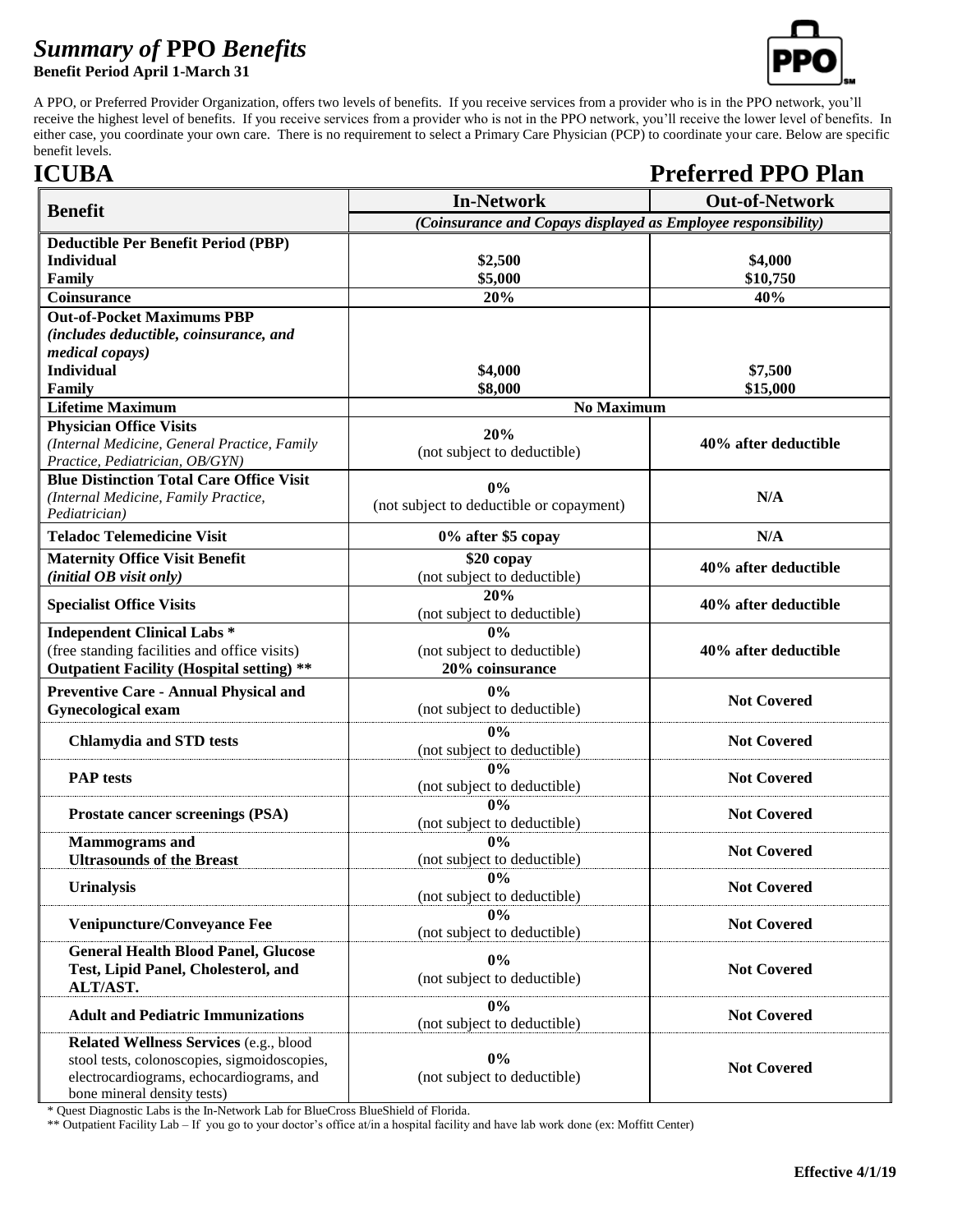## *Summary of* **PPO** *Benefits*





A PPO, or Preferred Provider Organization, offers two levels of benefits. If you receive services from a provider who is in the PPO network, you'll receive the highest level of benefits. If you receive services from a provider who is not in the PPO network, you'll receive the lower level of benefits. In either case, you coordinate your own care. There is no requirement to select a Primary Care Physician (PCP) to coordinate your care. Below are specific benefit levels.

## **ICUBA Preferred PPO Plan**

|                                                  | <b>In-Network</b>                                             | <b>Out-of-Network</b> |
|--------------------------------------------------|---------------------------------------------------------------|-----------------------|
| <b>Benefit</b>                                   | (Coinsurance and Copays displayed as Employee responsibility) |                       |
| <b>Deductible Per Benefit Period (PBP)</b>       |                                                               |                       |
| <b>Individual</b>                                | \$2,500                                                       | \$4,000               |
| Family                                           | \$5,000                                                       | \$10,750              |
| Coinsurance                                      | 20%                                                           | 40%                   |
| <b>Out-of-Pocket Maximums PBP</b>                |                                                               |                       |
| (includes deductible, coinsurance, and           |                                                               |                       |
| medical copays)                                  |                                                               |                       |
| <b>Individual</b>                                | \$4,000                                                       | \$7,500               |
| Family                                           | \$8,000                                                       | \$15,000              |
| <b>Lifetime Maximum</b>                          | <b>No Maximum</b>                                             |                       |
| <b>Physician Office Visits</b>                   | 20%                                                           |                       |
| (Internal Medicine, General Practice, Family     | (not subject to deductible)                                   | 40% after deductible  |
| Practice, Pediatrician, OB/GYN)                  |                                                               |                       |
| <b>Blue Distinction Total Care Office Visit</b>  | 0%                                                            |                       |
| (Internal Medicine, Family Practice,             | (not subject to deductible or copayment)                      | N/A                   |
| Pediatrician)                                    |                                                               |                       |
| <b>Teladoc Telemedicine Visit</b>                | 0% after \$5 copay                                            | N/A                   |
| <b>Maternity Office Visit Benefit</b>            | \$20 copay                                                    | 40% after deductible  |
| (initial OB visit only)                          | (not subject to deductible)                                   |                       |
| <b>Specialist Office Visits</b>                  | 20%                                                           | 40% after deductible  |
|                                                  | (not subject to deductible)                                   |                       |
| <b>Independent Clinical Labs *</b>               | $\overline{0\%}$                                              |                       |
| (free standing facilities and office visits)     | (not subject to deductible)                                   | 40% after deductible  |
| <b>Outpatient Facility (Hospital setting) **</b> | 20% coinsurance                                               |                       |
| <b>Preventive Care - Annual Physical and</b>     | 0%                                                            | <b>Not Covered</b>    |
| <b>Gynecological exam</b>                        | (not subject to deductible)                                   |                       |
|                                                  | 0%                                                            |                       |
| <b>Chlamydia and STD tests</b>                   | (not subject to deductible)                                   | <b>Not Covered</b>    |
|                                                  | 0%                                                            |                       |
| <b>PAP</b> tests                                 | (not subject to deductible)                                   | <b>Not Covered</b>    |
|                                                  | 0%                                                            |                       |
| Prostate cancer screenings (PSA)                 | (not subject to deductible)                                   | <b>Not Covered</b>    |
| <b>Mammograms</b> and                            | 0%                                                            | <b>Not Covered</b>    |
| <b>Ultrasounds of the Breast</b>                 | (not subject to deductible)                                   |                       |
|                                                  | $0\%$                                                         |                       |
| <b>Urinalysis</b>                                | (not subject to deductible)                                   | <b>Not Covered</b>    |
| Venipuncture/Conveyance Fee                      | 0%                                                            | <b>Not Covered</b>    |
|                                                  | (not subject to deductible)                                   |                       |
| <b>General Health Blood Panel, Glucose</b>       | $0\%$                                                         |                       |
| Test, Lipid Panel, Cholesterol, and              | (not subject to deductible)                                   | <b>Not Covered</b>    |
| ALT/AST.                                         |                                                               |                       |
| <b>Adult and Pediatric Immunizations</b>         | 0%                                                            | <b>Not Covered</b>    |
|                                                  | (not subject to deductible)                                   |                       |
| Related Wellness Services (e.g., blood           |                                                               |                       |
| stool tests, colonoscopies, sigmoidoscopies,     | $0\%$                                                         | <b>Not Covered</b>    |
| electrocardiograms, echocardiograms, and         | (not subject to deductible)                                   |                       |
| bone mineral density tests)                      |                                                               |                       |

\* Quest Diagnostic Labs is the In-Network Lab for BlueCross BlueShield of Florida.

\*\* Outpatient Facility Lab – If you go to your doctor's office at/in a hospital facility and have lab work done (ex: Moffitt Center)